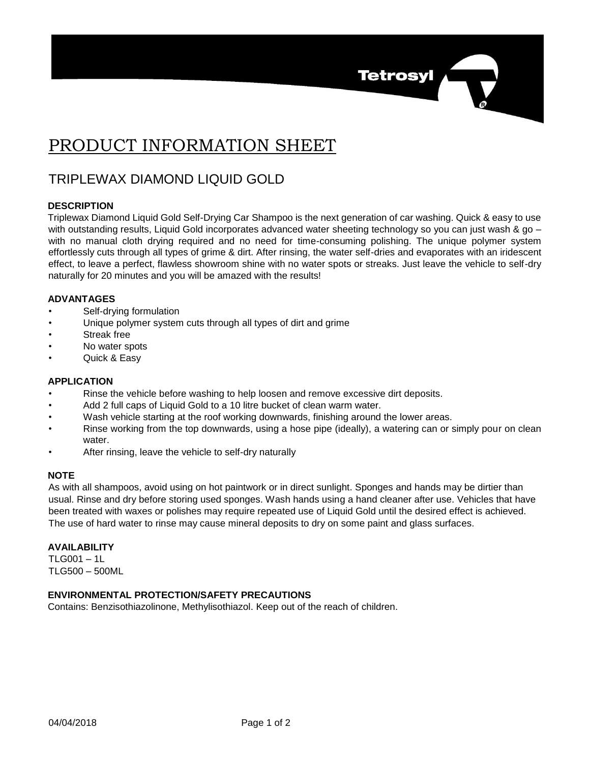# PRODUCT INFORMATION SHEET

## TRIPLEWAX DIAMOND LIQUID GOLD

#### **DESCRIPTION**

Triplewax Diamond Liquid Gold Self-Drying Car Shampoo is the next generation of car washing. Quick & easy to use with outstanding results, Liquid Gold incorporates advanced water sheeting technology so you can just wash & go – with no manual cloth drying required and no need for time-consuming polishing. The unique polymer system effortlessly cuts through all types of grime & dirt. After rinsing, the water self-dries and evaporates with an iridescent effect, to leave a perfect, flawless showroom shine with no water spots or streaks. Just leave the vehicle to self-dry naturally for 20 minutes and you will be amazed with the results!

**Tetrosyl** 

#### **ADVANTAGES**

- Self-drying formulation
- Unique polymer system cuts through all types of dirt and grime
- Streak free
- No water spots
- Quick & Easy

#### **APPLICATION**

- Rinse the vehicle before washing to help loosen and remove excessive dirt deposits.
- Add 2 full caps of Liquid Gold to a 10 litre bucket of clean warm water.
- Wash vehicle starting at the roof working downwards, finishing around the lower areas.
- Rinse working from the top downwards, using a hose pipe (ideally), a watering can or simply pour on clean water.
- After rinsing, leave the vehicle to self-dry naturally

#### **NOTE**

As with all shampoos, avoid using on hot paintwork or in direct sunlight. Sponges and hands may be dirtier than usual. Rinse and dry before storing used sponges. Wash hands using a hand cleaner after use. Vehicles that have been treated with waxes or polishes may require repeated use of Liquid Gold until the desired effect is achieved. The use of hard water to rinse may cause mineral deposits to dry on some paint and glass surfaces.

#### **AVAILABILITY**

 $TI$  G001 – 1L TLG500 – 500ML

### **ENVIRONMENTAL PROTECTION/SAFETY PRECAUTIONS**

Contains: Benzisothiazolinone, Methylisothiazol. Keep out of the reach of children.